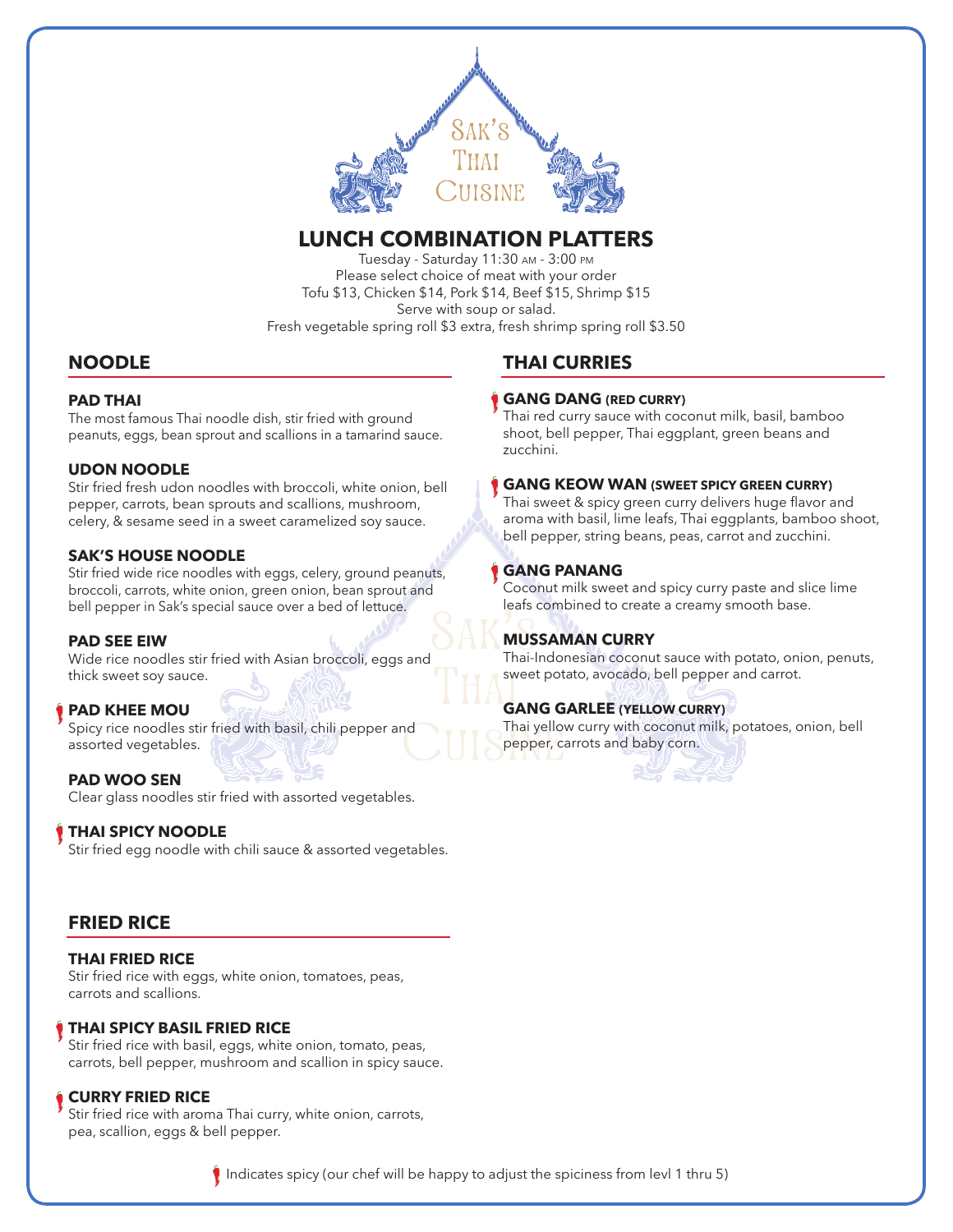

# **LUNCH COMBINATION PLATTERS**

Tuesday - Saturday 11:30 AM - 3:00 PM Please select choice of meat with your order Tofu \$13, Chicken \$14, Pork \$14, Beef \$15, Shrimp \$15 Serve with soup or salad. Fresh vegetable spring roll \$3 extra, fresh shrimp spring roll \$3.50

# **NOODLE**

## **PAD THAI**

The most famous Thai noodle dish, stir fried with ground peanuts, eggs, bean sprout and scallions in a tamarind sauce.

# **UDON NOODLE**

Stir fried fresh udon noodles with broccoli, white onion, bell pepper, carrots, bean sprouts and scallions, mushroom, celery, & sesame seed in a sweet caramelized soy sauce.

# **SAK'S HOUSE NOODLE**

Stir fried wide rice noodles with eggs, celery, ground peanuts, broccoli, carrots, white onion, green onion, bean sprout and bell pepper in Sak's special sauce over a bed of lettuce.

### **PAD SEE EIW**

Wide rice noodles stir fried with Asian broccoli, eggs and thick sweet soy sauce.

# **PAD KHEE MOU**

Spicy rice noodles stir fried with basil, chili pepper and assorted vegetables.

**PAD WOO SEN** Clear glass noodles stir fried with assorted vegetables.

# **THAI SPICY NOODLE**

Stir fried egg noodle with chili sauce & assorted vegetables.

# **FRIED RICE**

**THAI FRIED RICE** Stir fried rice with eggs, white onion, tomatoes, peas, carrots and scallions.

### **THAI SPICY BASIL FRIED RICE**

Stir fried rice with basil, eggs, white onion, tomato, peas, carrots, bell pepper, mushroom and scallion in spicy sauce.

### **CURRY FRIED RICE**

Stir fried rice with aroma Thai curry, white onion, carrots, pea, scallion, eggs & bell pepper.

# **THAI CURRIES**

### **GANG DANG (RED CURRY)**

Thai red curry sauce with coconut milk, basil, bamboo shoot, bell pepper, Thai eggplant, green beans and zucchini.

### **GANG KEOW WAN (SWEET SPICY GREEN CURRY)**

Thai sweet & spicy green curry delivers huge flavor and aroma with basil, lime leafs, Thai eggplants, bamboo shoot, bell pepper, string beans, peas, carrot and zucchini.

## **GANG PANANG**

Coconut milk sweet and spicy curry paste and slice lime leafs combined to create a creamy smooth base.

### **MUSSAMAN CURRY**

Thai-Indonesian coconut sauce with potato, onion, penuts, sweet potato, avocado, bell pepper and carrot.

# **GANG GARLEE (YELLOW CURRY)**

Thai yellow curry with coconut milk, potatoes, onion, bell pepper, carrots and baby corn.